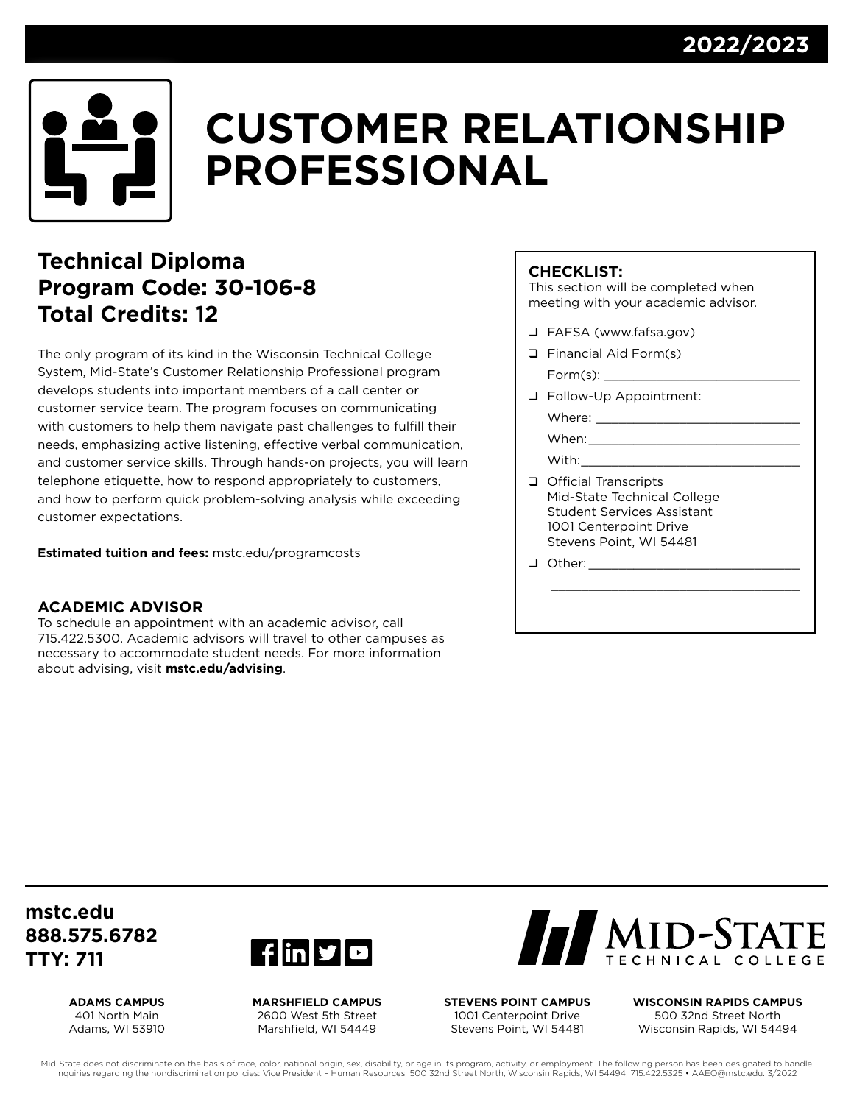

# **CUSTOMER RELATIONSHIP PROFESSIONAL**

### **Technical Diploma Program Code: 30-106-8 Total Credits: 12**

The only program of its kind in the Wisconsin Technical College System, Mid-State's Customer Relationship Professional program develops students into important members of a call center or customer service team. The program focuses on communicating with customers to help them navigate past challenges to fulfill their needs, emphasizing active listening, effective verbal communication, and customer service skills. Through hands-on projects, you will learn telephone etiquette, how to respond appropriately to customers, and how to perform quick problem-solving analysis while exceeding customer expectations.

**Estimated tuition and fees:** [mstc.edu/programcosts](http://mstc.edu/programcosts)

#### **ACADEMIC ADVISOR**

To schedule an appointment with an academic advisor, call 715.422.5300. Academic advisors will travel to other campuses as necessary to accommodate student needs. For more information about advising, visit **[mstc.edu/advising](http://mstc.edu/advising)**.

#### **CHECKLIST:**

This section will be completed when meeting with your academic advisor.

- **Q** FAFSA [\(www.fafsa.gov\)](http://www.fafsa.gov)
- $\Box$  Financial Aid Form(s)  $Form(s)$ :
- **Q** Follow-Up Appointment:

| Where: |  |  |  |
|--------|--|--|--|
|        |  |  |  |

When:

With:

**Q** Official Transcripts Mid-State Technical College Student Services Assistant 1001 Centerpoint Drive Stevens Point, WI 54481

\_\_\_\_\_\_\_\_\_\_\_\_\_\_\_\_\_\_\_\_\_\_\_\_\_\_\_\_\_\_\_\_\_

 $\Box$  Other:

**[mstc.edu](http://mstc.edu) 888.575.6782 TTY: 711**

> **ADAMS CAMPUS** 401 North Main Adams, WI 53910



**MARSHFIELD CAMPUS** 2600 West 5th Street Marshfield, WI 54449



**STEVENS POINT CAMPUS** 1001 Centerpoint Drive Stevens Point, WI 54481

**WISCONSIN RAPIDS CAMPUS** 500 32nd Street North Wisconsin Rapids, WI 54494

Mid-State does not discriminate on the basis of race, color, national origin, sex, disability, or age in its program, activity, or employment. The following person has been designated to handle inquiries regarding the nondiscrimination policies: Vice President – Human Resources; 500 32nd Street North, Wisconsin Rapids, WI 54494; 715.422.5325 • [AAEO@mstc.edu](mailto:AAEO@mstc.edu). 3/2022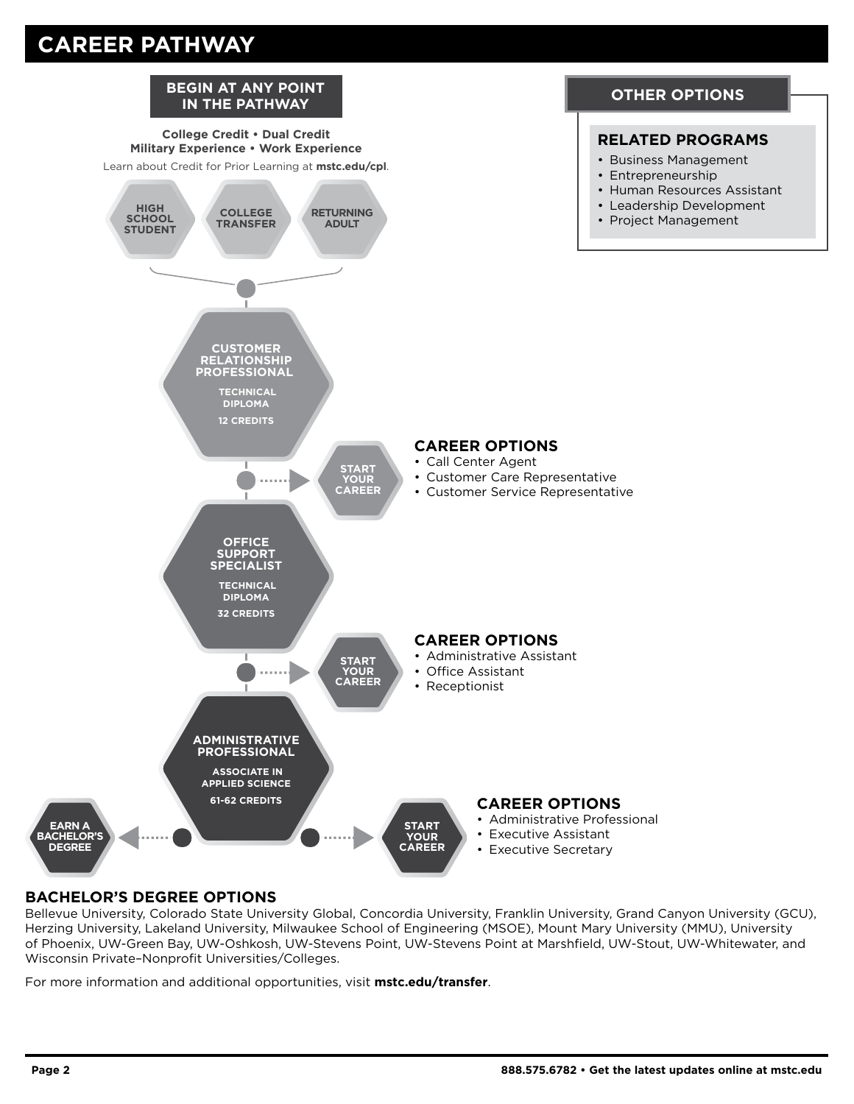## **CAREER PATHWAY**



#### **BACHELOR'S DEGREE OPTIONS**

Bellevue University, Colorado State University Global, Concordia University, Franklin University, Grand Canyon University (GCU), Herzing University, Lakeland University, Milwaukee School of Engineering (MSOE), Mount Mary University (MMU), University of Phoenix, UW-Green Bay, UW-Oshkosh, UW-Stevens Point, UW-Stevens Point at Marshfield, UW-Stout, UW-Whitewater, and Wisconsin Private–Nonprofit Universities/Colleges.

For more information and additional opportunities, visit **[mstc.edu/](http://mstc.edu/advising)transfer**.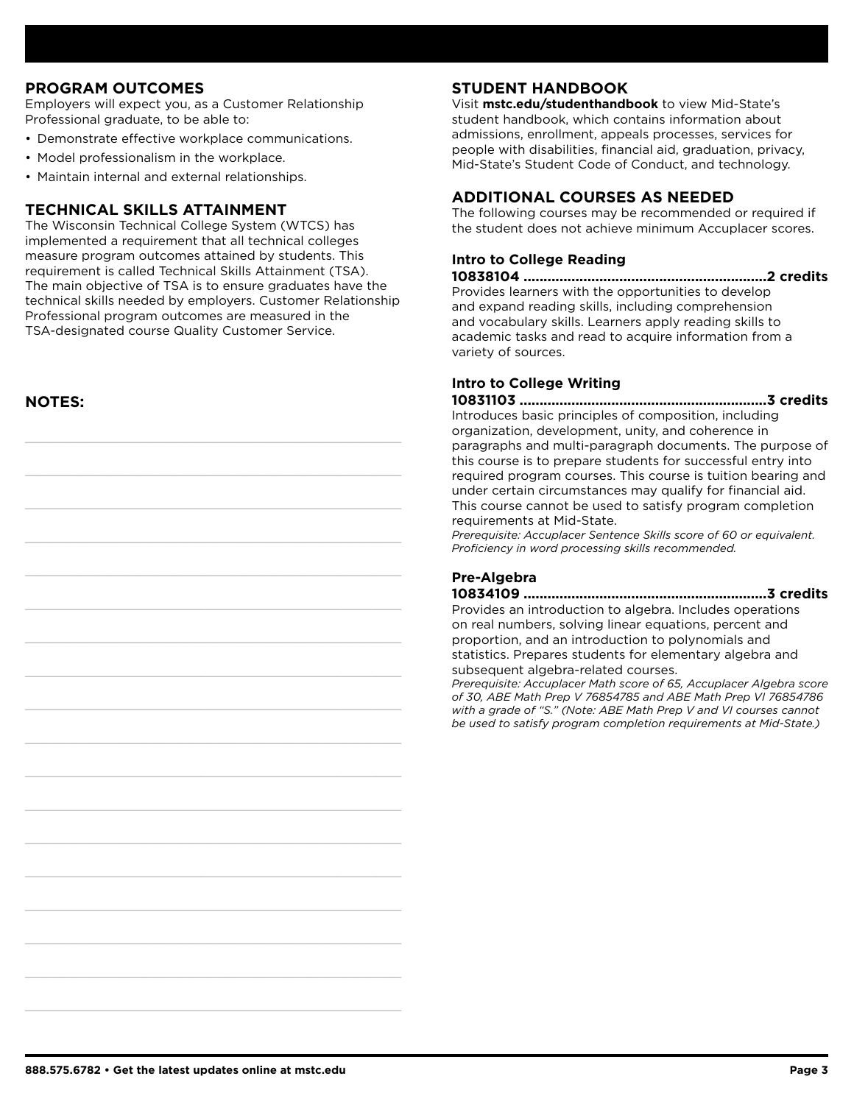#### **PROGRAM OUTCOMES**

Employers will expect you, as a Customer Relationship Professional graduate, to be able to:

- Demonstrate effective workplace communications.
- Model professionalism in the workplace.
- Maintain internal and external relationships.

#### **TECHNICAL SKILLS ATTAINMENT**

The Wisconsin Technical College System (WTCS) has implemented a requirement that all technical colleges measure program outcomes attained by students. This requirement is called Technical Skills Attainment (TSA). The main objective of TSA is to ensure graduates have the technical skills needed by employers. Customer Relationship Professional program outcomes are measured in the TSA-designated course Quality Customer Service.

**NOTES:**

#### **STUDENT HANDBOOK**

Visit **[mstc.edu/studenthandbook](http://mstc.edu/studenthandbook)** to view Mid-State's student handbook, which contains information about admissions, enrollment, appeals processes, services for people with disabilities, financial aid, graduation, privacy, Mid-State's Student Code of Conduct, and technology.

#### **ADDITIONAL COURSES AS NEEDED**

The following courses may be recommended or required if the student does not achieve minimum Accuplacer scores.

#### **Intro to College Reading**

**10838104 .............................................................2 credits** Provides learners with the opportunities to develop and expand reading skills, including comprehension and vocabulary skills. Learners apply reading skills to academic tasks and read to acquire information from a variety of sources.

#### **Intro to College Writing**

**10831103 ..............................................................3 credits** Introduces basic principles of composition, including organization, development, unity, and coherence in paragraphs and multi-paragraph documents. The purpose of this course is to prepare students for successful entry into required program courses. This course is tuition bearing and under certain circumstances may qualify for financial aid. This course cannot be used to satisfy program completion requirements at Mid-State.

*Prerequisite: Accuplacer Sentence Skills score of 60 or equivalent. Proficiency in word processing skills recommended.*

#### **Pre-Algebra**

**10834109 .............................................................3 credits** Provides an introduction to algebra. Includes operations on real numbers, solving linear equations, percent and proportion, and an introduction to polynomials and statistics. Prepares students for elementary algebra and subsequent algebra-related courses.

*Prerequisite: Accuplacer Math score of 65, Accuplacer Algebra score of 30, ABE Math Prep V 76854785 and ABE Math Prep VI 76854786 with a grade of "S." (Note: ABE Math Prep V and VI courses cannot be used to satisfy program completion requirements at Mid-State.)*